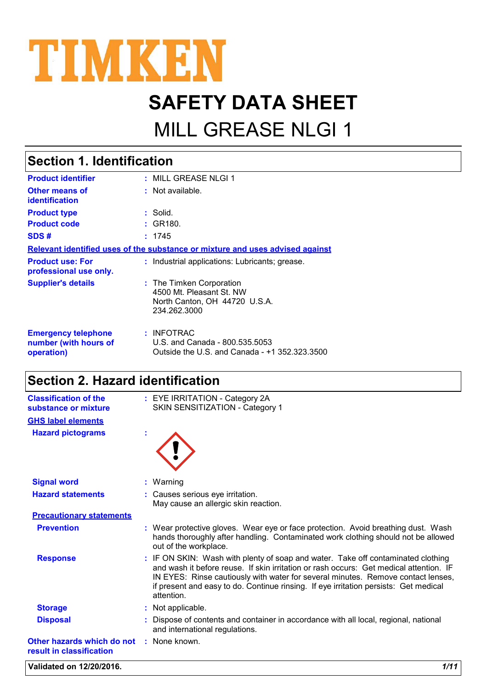

# **SAFETY DATA SHEET**

# MILL GREASE NLGI 1

## **Section 1. Identification**

| <b>Product identifier</b>                                         | : MILL GREASE NLGI 1                                                                                  |
|-------------------------------------------------------------------|-------------------------------------------------------------------------------------------------------|
| <b>Other means of</b><br><b>identification</b>                    | $:$ Not available.                                                                                    |
| <b>Product type</b>                                               | : Solid.                                                                                              |
| <b>Product code</b>                                               | : GR180.                                                                                              |
| SDS#                                                              | : 1745                                                                                                |
|                                                                   | Relevant identified uses of the substance or mixture and uses advised against                         |
| <b>Product use: For</b><br>professional use only.                 | : Industrial applications: Lubricants: grease.                                                        |
| <b>Supplier's details</b>                                         | : The Timken Corporation<br>4500 Mt. Pleasant St. NW<br>North Canton, OH 44720 U.S.A.<br>234.262.3000 |
| <b>Emergency telephone</b><br>number (with hours of<br>operation) | : INFOTRAC<br>U.S. and Canada - 800.535.5053<br>Outside the U.S. and Canada - +1 352.323.3500         |

#### **Section 2. Hazard identification**

| <b>Classification of the</b><br>substance or mixture                 | : EYE IRRITATION - Category 2A<br>SKIN SENSITIZATION - Category 1                                                                                                                                                                                                                                                                                                    |
|----------------------------------------------------------------------|----------------------------------------------------------------------------------------------------------------------------------------------------------------------------------------------------------------------------------------------------------------------------------------------------------------------------------------------------------------------|
| <b>GHS label elements</b>                                            |                                                                                                                                                                                                                                                                                                                                                                      |
| <b>Hazard pictograms</b>                                             |                                                                                                                                                                                                                                                                                                                                                                      |
| <b>Signal word</b>                                                   | $:$ Warning                                                                                                                                                                                                                                                                                                                                                          |
| <b>Hazard statements</b>                                             | : Causes serious eye irritation.<br>May cause an allergic skin reaction.                                                                                                                                                                                                                                                                                             |
| <b>Precautionary statements</b>                                      |                                                                                                                                                                                                                                                                                                                                                                      |
| <b>Prevention</b>                                                    | : Wear protective gloves. Wear eye or face protection. Avoid breathing dust. Wash<br>hands thoroughly after handling. Contaminated work clothing should not be allowed<br>out of the workplace.                                                                                                                                                                      |
| <b>Response</b>                                                      | : IF ON SKIN: Wash with plenty of soap and water. Take off contaminated clothing<br>and wash it before reuse. If skin irritation or rash occurs: Get medical attention. IF<br>IN EYES: Rinse cautiously with water for several minutes. Remove contact lenses,<br>if present and easy to do. Continue rinsing. If eye irritation persists: Get medical<br>attention. |
| <b>Storage</b>                                                       | : Not applicable.                                                                                                                                                                                                                                                                                                                                                    |
| <b>Disposal</b>                                                      | Dispose of contents and container in accordance with all local, regional, national<br>and international regulations.                                                                                                                                                                                                                                                 |
| Other hazards which do not : None known.<br>result in classification |                                                                                                                                                                                                                                                                                                                                                                      |

**Validated on 12/20/2016.** *1/11*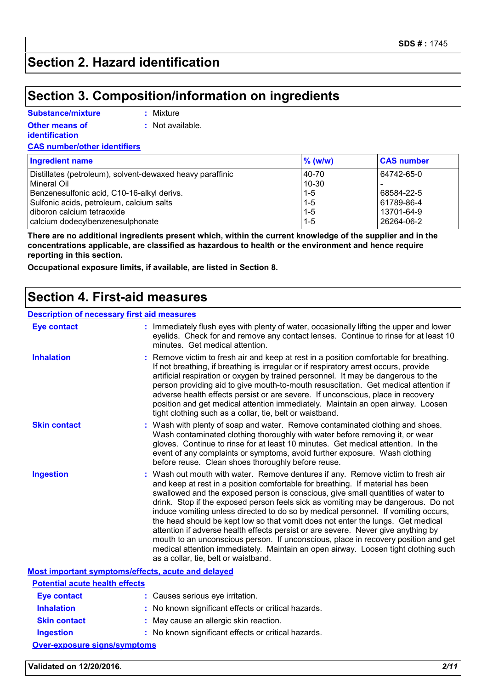### **Section 2. Hazard identification**

#### **Section 3. Composition/information on ingredients**

| <b>Substance/mixture</b> |
|--------------------------|
|--------------------------|

**:** Mixture

**Other means of identification**

**:** Not available.

**CAS number/other identifiers**

| <b>Ingredient name</b>                                    | $%$ (w/w) | <b>CAS number</b> |
|-----------------------------------------------------------|-----------|-------------------|
| Distillates (petroleum), solvent-dewaxed heavy paraffinic | 40-70     | 64742-65-0        |
| l Mineral Oil                                             | $10 - 30$ |                   |
| Benzenesulfonic acid, C10-16-alkyl derivs.                | $1 - 5$   | 68584-22-5        |
| Sulfonic acids, petroleum, calcium salts                  | $1 - 5$   | 61789-86-4        |
| diboron calcium tetraoxide                                | $1 - 5$   | 13701-64-9        |
| calcium dodecylbenzenesulphonate                          | $1 - 5$   | 26264-06-2        |

**There are no additional ingredients present which, within the current knowledge of the supplier and in the concentrations applicable, are classified as hazardous to health or the environment and hence require reporting in this section.**

**Occupational exposure limits, if available, are listed in Section 8.**

#### **Section 4. First-aid measures**

| <b>Description of necessary first aid measures</b> |                                                                                                                                                                                                                                                                                                                                                                                                                                                                                                                                                                                                                                                                                                                                                                                                                              |
|----------------------------------------------------|------------------------------------------------------------------------------------------------------------------------------------------------------------------------------------------------------------------------------------------------------------------------------------------------------------------------------------------------------------------------------------------------------------------------------------------------------------------------------------------------------------------------------------------------------------------------------------------------------------------------------------------------------------------------------------------------------------------------------------------------------------------------------------------------------------------------------|
| <b>Eye contact</b>                                 | : Immediately flush eyes with plenty of water, occasionally lifting the upper and lower<br>eyelids. Check for and remove any contact lenses. Continue to rinse for at least 10<br>minutes. Get medical attention.                                                                                                                                                                                                                                                                                                                                                                                                                                                                                                                                                                                                            |
| <b>Inhalation</b>                                  | : Remove victim to fresh air and keep at rest in a position comfortable for breathing.<br>If not breathing, if breathing is irregular or if respiratory arrest occurs, provide<br>artificial respiration or oxygen by trained personnel. It may be dangerous to the<br>person providing aid to give mouth-to-mouth resuscitation. Get medical attention if<br>adverse health effects persist or are severe. If unconscious, place in recovery<br>position and get medical attention immediately. Maintain an open airway. Loosen<br>tight clothing such as a collar, tie, belt or waistband.                                                                                                                                                                                                                                 |
| <b>Skin contact</b>                                | : Wash with plenty of soap and water. Remove contaminated clothing and shoes.<br>Wash contaminated clothing thoroughly with water before removing it, or wear<br>gloves. Continue to rinse for at least 10 minutes. Get medical attention. In the<br>event of any complaints or symptoms, avoid further exposure. Wash clothing<br>before reuse. Clean shoes thoroughly before reuse.                                                                                                                                                                                                                                                                                                                                                                                                                                        |
| <b>Ingestion</b>                                   | : Wash out mouth with water. Remove dentures if any. Remove victim to fresh air<br>and keep at rest in a position comfortable for breathing. If material has been<br>swallowed and the exposed person is conscious, give small quantities of water to<br>drink. Stop if the exposed person feels sick as vomiting may be dangerous. Do not<br>induce vomiting unless directed to do so by medical personnel. If vomiting occurs,<br>the head should be kept low so that vomit does not enter the lungs. Get medical<br>attention if adverse health effects persist or are severe. Never give anything by<br>mouth to an unconscious person. If unconscious, place in recovery position and get<br>medical attention immediately. Maintain an open airway. Loosen tight clothing such<br>as a collar, tie, belt or waistband. |
| Most important symptoms/effects, acute and delayed |                                                                                                                                                                                                                                                                                                                                                                                                                                                                                                                                                                                                                                                                                                                                                                                                                              |
| <b>Potential acute health effects</b>              |                                                                                                                                                                                                                                                                                                                                                                                                                                                                                                                                                                                                                                                                                                                                                                                                                              |
| Eye contact                                        | Causes serious ave irritation                                                                                                                                                                                                                                                                                                                                                                                                                                                                                                                                                                                                                                                                                                                                                                                                |

| Eye contact         | : Causes serious eye irritation.                    |  |
|---------------------|-----------------------------------------------------|--|
| <b>Inhalation</b>   | : No known significant effects or critical hazards. |  |
| <b>Skin contact</b> | : May cause an allergic skin reaction.              |  |
| <b>Ingestion</b>    | : No known significant effects or critical hazards. |  |

**Over-exposure signs/symptoms**

**Validated on 12/20/2016.** *2/11*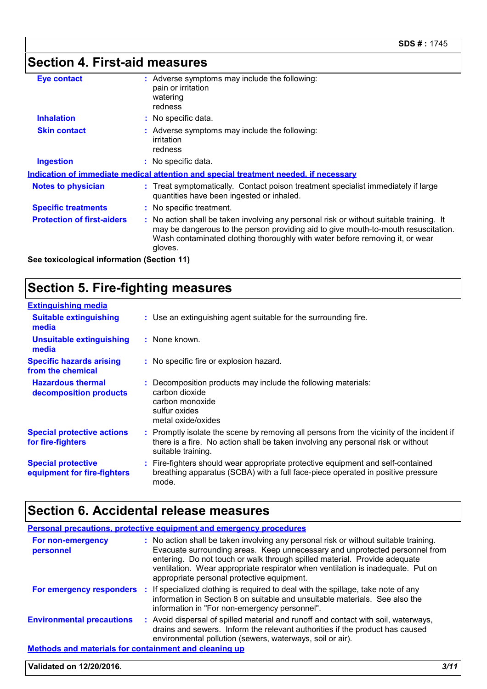### **Section 4. First-aid measures**

| <b>Eye contact</b>                | : Adverse symptoms may include the following:<br>pain or irritation<br>watering<br>redness                                                                                                                                                                               |
|-----------------------------------|--------------------------------------------------------------------------------------------------------------------------------------------------------------------------------------------------------------------------------------------------------------------------|
| <b>Inhalation</b>                 | : No specific data.                                                                                                                                                                                                                                                      |
| <b>Skin contact</b>               | : Adverse symptoms may include the following:<br>irritation<br>redness                                                                                                                                                                                                   |
| <b>Ingestion</b>                  | : No specific data.                                                                                                                                                                                                                                                      |
|                                   | Indication of immediate medical attention and special treatment needed, if necessary                                                                                                                                                                                     |
| <b>Notes to physician</b>         | : Treat symptomatically. Contact poison treatment specialist immediately if large<br>quantities have been ingested or inhaled.                                                                                                                                           |
| <b>Specific treatments</b>        | : No specific treatment.                                                                                                                                                                                                                                                 |
| <b>Protection of first-aiders</b> | : No action shall be taken involving any personal risk or without suitable training. It<br>may be dangerous to the person providing aid to give mouth-to-mouth resuscitation.<br>Wash contaminated clothing thoroughly with water before removing it, or wear<br>gloves. |
|                                   |                                                                                                                                                                                                                                                                          |

**See toxicological information (Section 11)**

### **Section 5. Fire-fighting measures**

| <b>Extinguishing media</b>                               |                                                                                                                                                                                                     |
|----------------------------------------------------------|-----------------------------------------------------------------------------------------------------------------------------------------------------------------------------------------------------|
| <b>Suitable extinguishing</b><br>media                   | : Use an extinguishing agent suitable for the surrounding fire.                                                                                                                                     |
| <b>Unsuitable extinguishing</b><br>media                 | : None known.                                                                                                                                                                                       |
| <b>Specific hazards arising</b><br>from the chemical     | : No specific fire or explosion hazard.                                                                                                                                                             |
| <b>Hazardous thermal</b><br>decomposition products       | : Decomposition products may include the following materials:<br>carbon dioxide<br>carbon monoxide<br>sulfur oxides<br>metal oxide/oxides                                                           |
| <b>Special protective actions</b><br>for fire-fighters   | : Promptly isolate the scene by removing all persons from the vicinity of the incident if<br>there is a fire. No action shall be taken involving any personal risk or without<br>suitable training. |
| <b>Special protective</b><br>equipment for fire-fighters | : Fire-fighters should wear appropriate protective equipment and self-contained<br>breathing apparatus (SCBA) with a full face-piece operated in positive pressure<br>mode.                         |

### **Section 6. Accidental release measures**

|                                                              | Personal precautions, protective equipment and emergency procedures                                                                                                                                                                                                                                                                                                               |  |
|--------------------------------------------------------------|-----------------------------------------------------------------------------------------------------------------------------------------------------------------------------------------------------------------------------------------------------------------------------------------------------------------------------------------------------------------------------------|--|
| For non-emergency<br>personnel                               | : No action shall be taken involving any personal risk or without suitable training.<br>Evacuate surrounding areas. Keep unnecessary and unprotected personnel from<br>entering. Do not touch or walk through spilled material. Provide adequate<br>ventilation. Wear appropriate respirator when ventilation is inadequate. Put on<br>appropriate personal protective equipment. |  |
|                                                              | For emergency responders : If specialized clothing is required to deal with the spillage, take note of any<br>information in Section 8 on suitable and unsuitable materials. See also the<br>information in "For non-emergency personnel".                                                                                                                                        |  |
| <b>Environmental precautions</b>                             | : Avoid dispersal of spilled material and runoff and contact with soil, waterways,<br>drains and sewers. Inform the relevant authorities if the product has caused<br>environmental pollution (sewers, waterways, soil or air).                                                                                                                                                   |  |
| <b>Methods and materials for containment and cleaning up</b> |                                                                                                                                                                                                                                                                                                                                                                                   |  |

#### **Validated on 12/20/2016.** *3/11*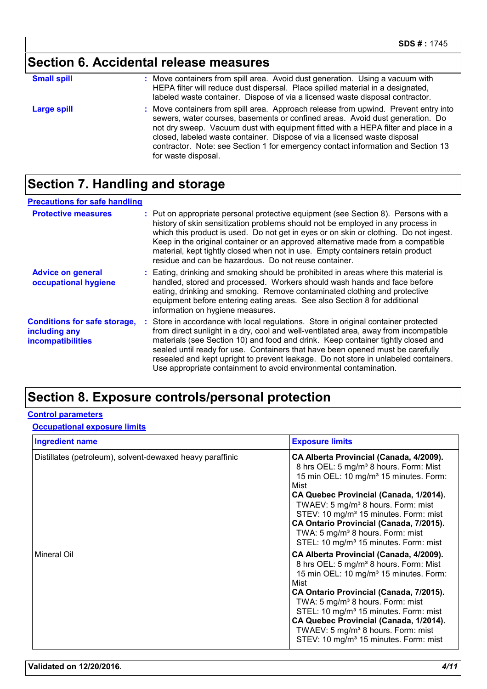# **Section 6. Accidental release measures**

| <b>Small spill</b> | : Move containers from spill area. Avoid dust generation. Using a vacuum with<br>HEPA filter will reduce dust dispersal. Place spilled material in a designated,<br>labeled waste container. Dispose of via a licensed waste disposal contractor.                                                                                                                                                                                                  |
|--------------------|----------------------------------------------------------------------------------------------------------------------------------------------------------------------------------------------------------------------------------------------------------------------------------------------------------------------------------------------------------------------------------------------------------------------------------------------------|
| <b>Large spill</b> | : Move containers from spill area. Approach release from upwind. Prevent entry into<br>sewers, water courses, basements or confined areas. Avoid dust generation. Do<br>not dry sweep. Vacuum dust with equipment fitted with a HEPA filter and place in a<br>closed, labeled waste container. Dispose of via a licensed waste disposal<br>contractor. Note: see Section 1 for emergency contact information and Section 13<br>for waste disposal. |

#### **Section 7. Handling and storage**

| <b>Precautions for safe handling</b>                                      |                                                                                                                                                                                                                                                                                                                                                                                                                                                                                                               |
|---------------------------------------------------------------------------|---------------------------------------------------------------------------------------------------------------------------------------------------------------------------------------------------------------------------------------------------------------------------------------------------------------------------------------------------------------------------------------------------------------------------------------------------------------------------------------------------------------|
| <b>Protective measures</b>                                                | : Put on appropriate personal protective equipment (see Section 8). Persons with a<br>history of skin sensitization problems should not be employed in any process in<br>which this product is used. Do not get in eyes or on skin or clothing. Do not ingest.<br>Keep in the original container or an approved alternative made from a compatible<br>material, kept tightly closed when not in use. Empty containers retain product<br>residue and can be hazardous. Do not reuse container.                 |
| <b>Advice on general</b><br>occupational hygiene                          | : Eating, drinking and smoking should be prohibited in areas where this material is<br>handled, stored and processed. Workers should wash hands and face before<br>eating, drinking and smoking. Remove contaminated clothing and protective<br>equipment before entering eating areas. See also Section 8 for additional<br>information on hygiene measures.                                                                                                                                                 |
| <b>Conditions for safe storage,</b><br>including any<br>incompatibilities | : Store in accordance with local regulations. Store in original container protected<br>from direct sunlight in a dry, cool and well-ventilated area, away from incompatible<br>materials (see Section 10) and food and drink. Keep container tightly closed and<br>sealed until ready for use. Containers that have been opened must be carefully<br>resealed and kept upright to prevent leakage. Do not store in unlabeled containers.<br>Use appropriate containment to avoid environmental contamination. |

### **Section 8. Exposure controls/personal protection**

#### **Control parameters**

#### **Occupational exposure limits**

| <b>Ingredient name</b>                                    | <b>Exposure limits</b>                                                                                                                                                                                                                                                                                                                                                                                                                                       |
|-----------------------------------------------------------|--------------------------------------------------------------------------------------------------------------------------------------------------------------------------------------------------------------------------------------------------------------------------------------------------------------------------------------------------------------------------------------------------------------------------------------------------------------|
| Distillates (petroleum), solvent-dewaxed heavy paraffinic | CA Alberta Provincial (Canada, 4/2009).<br>8 hrs OEL: 5 mg/m <sup>3</sup> 8 hours. Form: Mist<br>15 min OEL: 10 mg/m <sup>3</sup> 15 minutes. Form:<br>Mist<br>CA Quebec Provincial (Canada, 1/2014).<br>TWAEV: 5 mg/m <sup>3</sup> 8 hours. Form: mist<br>STEV: 10 mg/m <sup>3</sup> 15 minutes. Form: mist<br>CA Ontario Provincial (Canada, 7/2015).<br>TWA: 5 mg/m <sup>3</sup> 8 hours. Form: mist<br>STEL: 10 mg/m <sup>3</sup> 15 minutes. Form: mist |
| <b>Mineral Oil</b>                                        | CA Alberta Provincial (Canada, 4/2009).<br>8 hrs OEL: 5 mg/m <sup>3</sup> 8 hours. Form: Mist<br>15 min OEL: 10 mg/m <sup>3</sup> 15 minutes. Form:<br>Mist<br>CA Ontario Provincial (Canada, 7/2015).<br>TWA: 5 mg/m <sup>3</sup> 8 hours. Form: mist<br>STEL: 10 mg/m <sup>3</sup> 15 minutes. Form: mist<br>CA Quebec Provincial (Canada, 1/2014).<br>TWAEV: 5 mg/m <sup>3</sup> 8 hours. Form: mist<br>STEV: 10 mg/m <sup>3</sup> 15 minutes. Form: mist |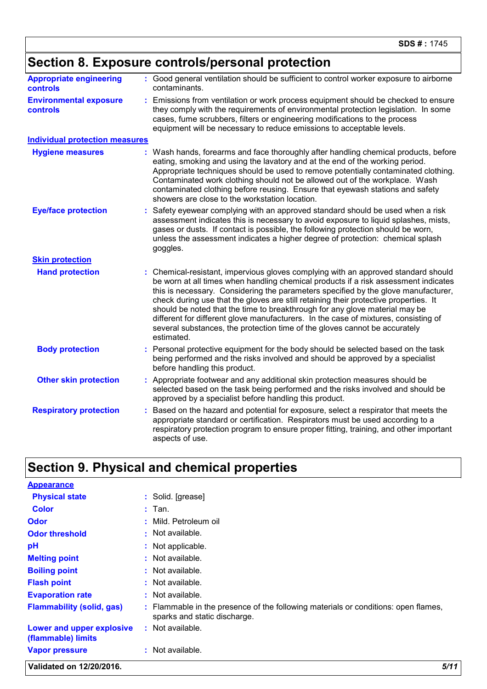|                                                  | Section 8. Exposure controls/personal protection                                                                                                                                                                                                                                                                                                                                                                                                                                                                                                                                                                          |
|--------------------------------------------------|---------------------------------------------------------------------------------------------------------------------------------------------------------------------------------------------------------------------------------------------------------------------------------------------------------------------------------------------------------------------------------------------------------------------------------------------------------------------------------------------------------------------------------------------------------------------------------------------------------------------------|
| <b>Appropriate engineering</b><br>controls       | : Good general ventilation should be sufficient to control worker exposure to airborne<br>contaminants.                                                                                                                                                                                                                                                                                                                                                                                                                                                                                                                   |
| <b>Environmental exposure</b><br><b>controls</b> | : Emissions from ventilation or work process equipment should be checked to ensure<br>they comply with the requirements of environmental protection legislation. In some<br>cases, fume scrubbers, filters or engineering modifications to the process<br>equipment will be necessary to reduce emissions to acceptable levels.                                                                                                                                                                                                                                                                                           |
| <b>Individual protection measures</b>            |                                                                                                                                                                                                                                                                                                                                                                                                                                                                                                                                                                                                                           |
| <b>Hygiene measures</b>                          | : Wash hands, forearms and face thoroughly after handling chemical products, before<br>eating, smoking and using the lavatory and at the end of the working period.<br>Appropriate techniques should be used to remove potentially contaminated clothing.<br>Contaminated work clothing should not be allowed out of the workplace. Wash<br>contaminated clothing before reusing. Ensure that eyewash stations and safety<br>showers are close to the workstation location.                                                                                                                                               |
| <b>Eye/face protection</b>                       | : Safety eyewear complying with an approved standard should be used when a risk<br>assessment indicates this is necessary to avoid exposure to liquid splashes, mists,<br>gases or dusts. If contact is possible, the following protection should be worn,<br>unless the assessment indicates a higher degree of protection: chemical splash<br>goggles.                                                                                                                                                                                                                                                                  |
| <b>Skin protection</b>                           |                                                                                                                                                                                                                                                                                                                                                                                                                                                                                                                                                                                                                           |
| <b>Hand protection</b>                           | : Chemical-resistant, impervious gloves complying with an approved standard should<br>be worn at all times when handling chemical products if a risk assessment indicates<br>this is necessary. Considering the parameters specified by the glove manufacturer,<br>check during use that the gloves are still retaining their protective properties. It<br>should be noted that the time to breakthrough for any glove material may be<br>different for different glove manufacturers. In the case of mixtures, consisting of<br>several substances, the protection time of the gloves cannot be accurately<br>estimated. |
| <b>Body protection</b>                           | : Personal protective equipment for the body should be selected based on the task<br>being performed and the risks involved and should be approved by a specialist<br>before handling this product.                                                                                                                                                                                                                                                                                                                                                                                                                       |
| <b>Other skin protection</b>                     | : Appropriate footwear and any additional skin protection measures should be<br>selected based on the task being performed and the risks involved and should be<br>approved by a specialist before handling this product.                                                                                                                                                                                                                                                                                                                                                                                                 |
| <b>Respiratory protection</b>                    | : Based on the hazard and potential for exposure, select a respirator that meets the<br>appropriate standard or certification. Respirators must be used according to a<br>respiratory protection program to ensure proper fitting, training, and other important<br>aspects of use.                                                                                                                                                                                                                                                                                                                                       |

# **Section 9. Physical and chemical properties**

| <b>Appearance</b>                               |                                                                                                                    |  |
|-------------------------------------------------|--------------------------------------------------------------------------------------------------------------------|--|
| <b>Physical state</b>                           | : Solid. [grease]                                                                                                  |  |
| <b>Color</b>                                    | $:$ Tan.                                                                                                           |  |
| <b>Odor</b>                                     | : Mild. Petroleum oil                                                                                              |  |
| <b>Odor threshold</b>                           | $:$ Not available.                                                                                                 |  |
| pH                                              | : Not applicable.                                                                                                  |  |
| <b>Melting point</b>                            | $:$ Not available.                                                                                                 |  |
| <b>Boiling point</b>                            | $:$ Not available.                                                                                                 |  |
| <b>Flash point</b>                              | $:$ Not available.                                                                                                 |  |
| <b>Evaporation rate</b>                         | $:$ Not available.                                                                                                 |  |
| <b>Flammability (solid, gas)</b>                | : Flammable in the presence of the following materials or conditions: open flames,<br>sparks and static discharge. |  |
| Lower and upper explosive<br>(flammable) limits | $:$ Not available.                                                                                                 |  |
| <b>Vapor pressure</b>                           | : Not available.                                                                                                   |  |
| Validated on 12/20/2016.                        | 5/11                                                                                                               |  |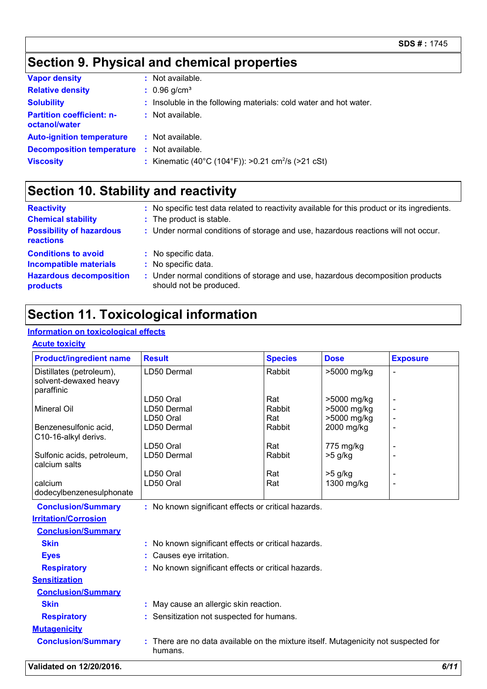# **Section 9. Physical and chemical properties**

| <b>Vapor density</b>                              | : Not available.                                                  |
|---------------------------------------------------|-------------------------------------------------------------------|
| <b>Relative density</b>                           | $: 0.96$ g/cm <sup>3</sup>                                        |
| <b>Solubility</b>                                 | : Insoluble in the following materials: cold water and hot water. |
| <b>Partition coefficient: n-</b><br>octanol/water | : Not available.                                                  |
| <b>Auto-ignition temperature</b>                  | $:$ Not available.                                                |
| <b>Decomposition temperature</b>                  | : Not available.                                                  |
| <b>Viscosity</b>                                  | : Kinematic (40°C (104°F)): >0.21 cm <sup>2</sup> /s (>21 cSt)    |

### **Section 10. Stability and reactivity**

| <b>Reactivity</b>                            | : No specific test data related to reactivity available for this product or its ingredients.              |
|----------------------------------------------|-----------------------------------------------------------------------------------------------------------|
| <b>Chemical stability</b>                    | : The product is stable.                                                                                  |
| <b>Possibility of hazardous</b><br>reactions | : Under normal conditions of storage and use, hazardous reactions will not occur.                         |
| <b>Conditions to avoid</b>                   | : No specific data.                                                                                       |
| <b>Incompatible materials</b>                | : No specific data.                                                                                       |
| <b>Hazardous decomposition</b><br>products   | : Under normal conditions of storage and use, hazardous decomposition products<br>should not be produced. |

### **Section 11. Toxicological information**

#### **Information on toxicological effects**

**Acute toxicity**

| <b>Product/ingredient name</b>                                  | <b>Result</b>                                                                                | <b>Species</b> | <b>Dose</b> | <b>Exposure</b> |
|-----------------------------------------------------------------|----------------------------------------------------------------------------------------------|----------------|-------------|-----------------|
| Distillates (petroleum),<br>solvent-dewaxed heavy<br>paraffinic | LD50 Dermal                                                                                  | Rabbit         | >5000 mg/kg |                 |
|                                                                 | LD50 Oral                                                                                    | Rat            | >5000 mg/kg |                 |
| <b>Mineral Oil</b>                                              | LD50 Dermal                                                                                  | Rabbit         | >5000 mg/kg |                 |
|                                                                 | LD50 Oral                                                                                    | Rat            | >5000 mg/kg |                 |
| Benzenesulfonic acid,<br>C10-16-alkyl derivs.                   | LD50 Dermal                                                                                  | Rabbit         | 2000 mg/kg  |                 |
|                                                                 | LD50 Oral                                                                                    | Rat            | 775 mg/kg   |                 |
| Sulfonic acids, petroleum,<br>calcium salts                     | LD50 Dermal                                                                                  | Rabbit         | >5 g/kg     |                 |
|                                                                 | LD50 Oral                                                                                    | Rat            | >5 g/kg     |                 |
| calcium                                                         | LD50 Oral                                                                                    | Rat            | 1300 mg/kg  |                 |
| dodecylbenzenesulphonate                                        |                                                                                              |                |             |                 |
| <b>Conclusion/Summary</b>                                       | : No known significant effects or critical hazards.                                          |                |             |                 |
| <b>Irritation/Corrosion</b>                                     |                                                                                              |                |             |                 |
| <b>Conclusion/Summary</b>                                       |                                                                                              |                |             |                 |
| <b>Skin</b>                                                     | : No known significant effects or critical hazards.                                          |                |             |                 |
| <b>Eyes</b>                                                     | Causes eye irritation.                                                                       |                |             |                 |
| <b>Respiratory</b>                                              | : No known significant effects or critical hazards.                                          |                |             |                 |
| <b>Sensitization</b>                                            |                                                                                              |                |             |                 |
| <b>Conclusion/Summary</b>                                       |                                                                                              |                |             |                 |
| <b>Skin</b>                                                     | : May cause an allergic skin reaction.                                                       |                |             |                 |
| <b>Respiratory</b>                                              | Sensitization not suspected for humans.                                                      |                |             |                 |
| <b>Mutagenicity</b>                                             |                                                                                              |                |             |                 |
| <b>Conclusion/Summary</b>                                       | There are no data available on the mixture itself. Mutagenicity not suspected for<br>humans. |                |             |                 |
| <b>Validated on 12/20/2016.</b>                                 |                                                                                              |                |             | 6/11            |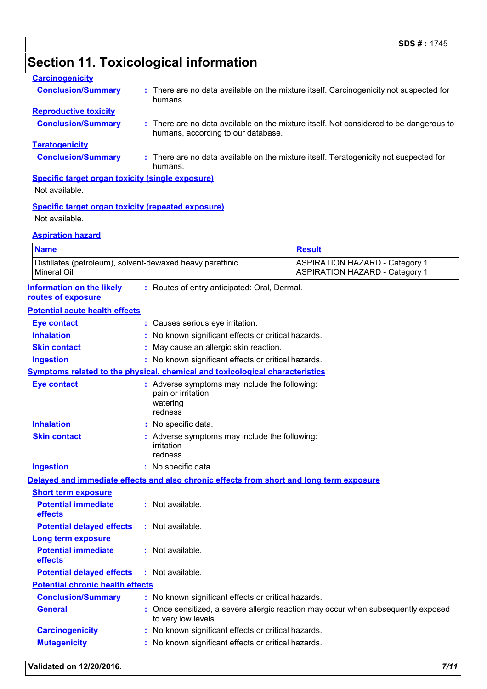# **Section 11. Toxicological information**

| <b>Carcinogenicity</b>                                                          |                                                                                                                              |                                                                                     |  |  |
|---------------------------------------------------------------------------------|------------------------------------------------------------------------------------------------------------------------------|-------------------------------------------------------------------------------------|--|--|
| <b>Conclusion/Summary</b>                                                       | : There are no data available on the mixture itself. Carcinogenicity not suspected for<br>humans.                            |                                                                                     |  |  |
| <b>Reproductive toxicity</b>                                                    |                                                                                                                              |                                                                                     |  |  |
| <b>Conclusion/Summary</b>                                                       | : There are no data available on the mixture itself. Not considered to be dangerous to<br>humans, according to our database. |                                                                                     |  |  |
| <b>Teratogenicity</b>                                                           |                                                                                                                              |                                                                                     |  |  |
| <b>Conclusion/Summary</b>                                                       | humans.                                                                                                                      | There are no data available on the mixture itself. Teratogenicity not suspected for |  |  |
| <b>Specific target organ toxicity (single exposure)</b>                         |                                                                                                                              |                                                                                     |  |  |
| Not available.                                                                  |                                                                                                                              |                                                                                     |  |  |
| <b>Specific target organ toxicity (repeated exposure)</b><br>Not available.     |                                                                                                                              |                                                                                     |  |  |
| <b>Aspiration hazard</b>                                                        |                                                                                                                              |                                                                                     |  |  |
| <b>Name</b>                                                                     |                                                                                                                              | <b>Result</b>                                                                       |  |  |
| Distillates (petroleum), solvent-dewaxed heavy paraffinic<br><b>Mineral Oil</b> |                                                                                                                              | <b>ASPIRATION HAZARD - Category 1</b><br><b>ASPIRATION HAZARD - Category 1</b>      |  |  |
| <b>Information on the likely</b><br>routes of exposure                          | : Routes of entry anticipated: Oral, Dermal.                                                                                 |                                                                                     |  |  |
| <b>Potential acute health effects</b>                                           |                                                                                                                              |                                                                                     |  |  |
| <b>Eye contact</b>                                                              | : Causes serious eye irritation.                                                                                             |                                                                                     |  |  |
| <b>Inhalation</b>                                                               | No known significant effects or critical hazards.                                                                            |                                                                                     |  |  |
| <b>Skin contact</b>                                                             | May cause an allergic skin reaction.                                                                                         |                                                                                     |  |  |
| <b>Ingestion</b>                                                                | : No known significant effects or critical hazards.                                                                          |                                                                                     |  |  |
|                                                                                 | <b>Symptoms related to the physical, chemical and toxicological characteristics</b>                                          |                                                                                     |  |  |
| <b>Eye contact</b>                                                              | : Adverse symptoms may include the following:<br>pain or irritation<br>watering<br>redness                                   |                                                                                     |  |  |
| <b>Inhalation</b>                                                               | : No specific data.                                                                                                          |                                                                                     |  |  |
| <b>Skin contact</b>                                                             | : Adverse symptoms may include the following:<br>irritation<br>redness                                                       |                                                                                     |  |  |
| <b>Ingestion</b>                                                                | : No specific data.                                                                                                          |                                                                                     |  |  |
|                                                                                 | Delayed and immediate effects and also chronic effects from short and long term exposure                                     |                                                                                     |  |  |
| <b>Short term exposure</b>                                                      |                                                                                                                              |                                                                                     |  |  |
| <b>Potential immediate</b><br>effects                                           | : Not available.                                                                                                             |                                                                                     |  |  |
| <b>Potential delayed effects</b>                                                | : Not available.                                                                                                             |                                                                                     |  |  |
| <b>Long term exposure</b>                                                       |                                                                                                                              |                                                                                     |  |  |
| <b>Potential immediate</b><br>effects                                           | : Not available.                                                                                                             |                                                                                     |  |  |
| <b>Potential delayed effects</b>                                                | Not available.                                                                                                               |                                                                                     |  |  |
| <b>Potential chronic health effects</b>                                         |                                                                                                                              |                                                                                     |  |  |
| <b>Conclusion/Summary</b>                                                       | : No known significant effects or critical hazards.                                                                          |                                                                                     |  |  |
| <b>General</b>                                                                  | to very low levels.                                                                                                          | : Once sensitized, a severe allergic reaction may occur when subsequently exposed   |  |  |
| <b>Carcinogenicity</b>                                                          | No known significant effects or critical hazards.                                                                            |                                                                                     |  |  |
| <b>Mutagenicity</b>                                                             | No known significant effects or critical hazards.                                                                            |                                                                                     |  |  |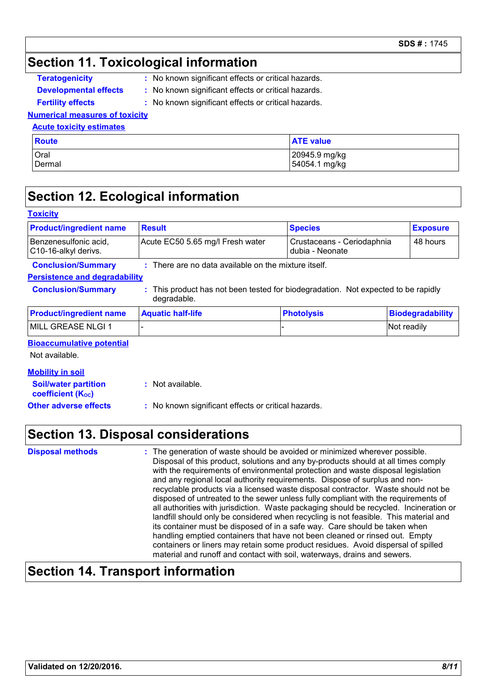#### **Section 11. Toxicological information**

| <b>Teratogenicity</b>        | : No known |
|------------------------------|------------|
| <b>Developmental effects</b> | : No known |
| <b>Fertility effects</b>     | : No knowr |

- **The investigative in significant effects or critical hazards.**
- **n** significant effects or critical hazards.
	- **n** significant effects or critical hazards.

#### **Numerical measures of toxicity**

#### **Acute toxicity estimates**

| <b>Route</b> | <b>ATE value</b> |
|--------------|------------------|
| Oral         | 20945.9 mg/kg    |
| Dermal       | 54054.1 mg/kg    |

#### **Section 12. Ecological information**

| <b>Toxicity</b>                                         |                                                                                                |                   |                            |                         |
|---------------------------------------------------------|------------------------------------------------------------------------------------------------|-------------------|----------------------------|-------------------------|
| <b>Product/ingredient name</b>                          | <b>Result</b>                                                                                  | <b>Species</b>    |                            | <b>Exposure</b>         |
| Benzenesulfonic acid.<br>C10-16-alkyl derivs.           | Acute EC50 5.65 mg/l Fresh water                                                               | dubia - Neonate   | Crustaceans - Ceriodaphnia |                         |
| <b>Conclusion/Summary</b>                               | $:$ There are no data available on the mixture itself.                                         |                   |                            |                         |
| <b>Persistence and degradability</b>                    |                                                                                                |                   |                            |                         |
| <b>Conclusion/Summary</b>                               | This product has not been tested for biodegradation. Not expected to be rapidly<br>degradable. |                   |                            |                         |
| <b>Product/ingredient name</b>                          | <b>Aquatic half-life</b>                                                                       | <b>Photolysis</b> |                            | <b>Biodegradability</b> |
| MILL GREASE NLGI 1                                      |                                                                                                |                   |                            | Not readily             |
| <b>Bioaccumulative potential</b><br>Not available.      |                                                                                                |                   |                            |                         |
| <b>Mobility in soil</b>                                 |                                                                                                |                   |                            |                         |
| <b>Soil/water partition</b><br><b>coefficient (Koc)</b> | : Not available.                                                                               |                   |                            |                         |
| <b>Other adverse effects</b>                            | : No known significant effects or critical hazards.                                            |                   |                            |                         |

#### **Section 13. Disposal considerations**

| <b>Disposal methods</b> | : The generation of waste should be avoided or minimized wherever possible.<br>Disposal of this product, solutions and any by-products should at all times comply<br>with the requirements of environmental protection and waste disposal legislation<br>and any regional local authority requirements. Dispose of surplus and non-<br>recyclable products via a licensed waste disposal contractor. Waste should not be<br>disposed of untreated to the sewer unless fully compliant with the requirements of<br>all authorities with jurisdiction. Waste packaging should be recycled. Incineration or<br>landfill should only be considered when recycling is not feasible. This material and<br>its container must be disposed of in a safe way. Care should be taken when<br>handling emptied containers that have not been cleaned or rinsed out. Empty |
|-------------------------|---------------------------------------------------------------------------------------------------------------------------------------------------------------------------------------------------------------------------------------------------------------------------------------------------------------------------------------------------------------------------------------------------------------------------------------------------------------------------------------------------------------------------------------------------------------------------------------------------------------------------------------------------------------------------------------------------------------------------------------------------------------------------------------------------------------------------------------------------------------|
|                         | containers or liners may retain some product residues. Avoid dispersal of spilled<br>material and runoff and contact with soil, waterways, drains and sewers.                                                                                                                                                                                                                                                                                                                                                                                                                                                                                                                                                                                                                                                                                                 |

### **Section 14. Transport information**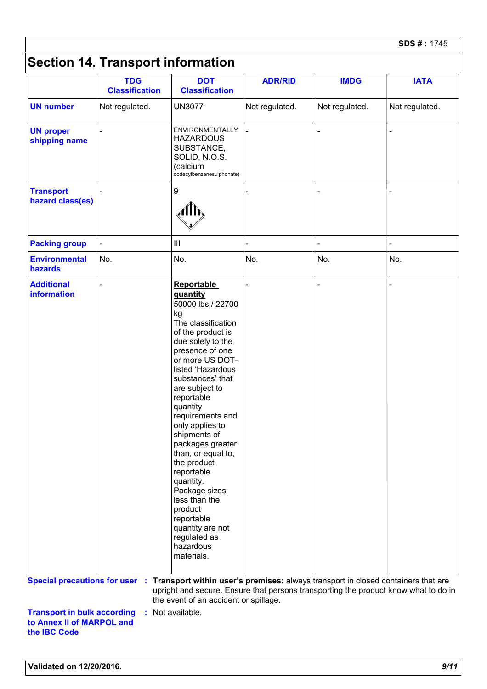# **Section 14. Transport information**

|                                                                                 | <b>TDG</b><br><b>Classification</b> | <b>DOT</b><br><b>Classification</b>                                                                                                                                                                                                                                                                                                                                                                                                                                                                                      | <b>ADR/RID</b> | <b>IMDG</b>    | <b>IATA</b>                                                                         |
|---------------------------------------------------------------------------------|-------------------------------------|--------------------------------------------------------------------------------------------------------------------------------------------------------------------------------------------------------------------------------------------------------------------------------------------------------------------------------------------------------------------------------------------------------------------------------------------------------------------------------------------------------------------------|----------------|----------------|-------------------------------------------------------------------------------------|
| <b>UN number</b>                                                                | Not regulated.                      | <b>UN3077</b>                                                                                                                                                                                                                                                                                                                                                                                                                                                                                                            | Not regulated. | Not regulated. | Not regulated.                                                                      |
| <b>UN proper</b><br>shipping name                                               |                                     | <b>ENVIRONMENTALLY</b><br><b>HAZARDOUS</b><br>SUBSTANCE,<br>SOLID, N.O.S.<br>calcium)<br>dodecylbenzenesulphonate)                                                                                                                                                                                                                                                                                                                                                                                                       | $\blacksquare$ |                |                                                                                     |
| <b>Transport</b><br>hazard class(es)                                            |                                     | $\boldsymbol{9}$                                                                                                                                                                                                                                                                                                                                                                                                                                                                                                         |                |                |                                                                                     |
| <b>Packing group</b>                                                            |                                     | Ш                                                                                                                                                                                                                                                                                                                                                                                                                                                                                                                        |                |                |                                                                                     |
| <b>Environmental</b><br>hazards                                                 | No.                                 | No.                                                                                                                                                                                                                                                                                                                                                                                                                                                                                                                      | No.            | No.            | No.                                                                                 |
| <b>Additional</b><br>information                                                |                                     | <b>Reportable</b><br>quantity<br>50000 lbs / 22700<br>kg<br>The classification<br>of the product is<br>due solely to the<br>presence of one<br>or more US DOT-<br>listed 'Hazardous<br>substances' that<br>are subject to<br>reportable<br>quantity<br>requirements and<br>only applies to<br>shipments of<br>packages greater<br>than, or equal to,<br>the product<br>reportable<br>quantity.<br>Package sizes<br>less than the<br>product<br>reportable<br>quantity are not<br>regulated as<br>hazardous<br>materials. |                |                |                                                                                     |
| <b>Special precautions for user :</b>                                           |                                     | Transport within user's premises: always transport in closed containers that are<br>the event of an accident or spillage.                                                                                                                                                                                                                                                                                                                                                                                                |                |                | upright and secure. Ensure that persons transporting the product know what to do in |
| <b>Transport in bulk according</b><br>to Annex II of MARPOL and<br>the IBC Code |                                     | : Not available.                                                                                                                                                                                                                                                                                                                                                                                                                                                                                                         |                |                |                                                                                     |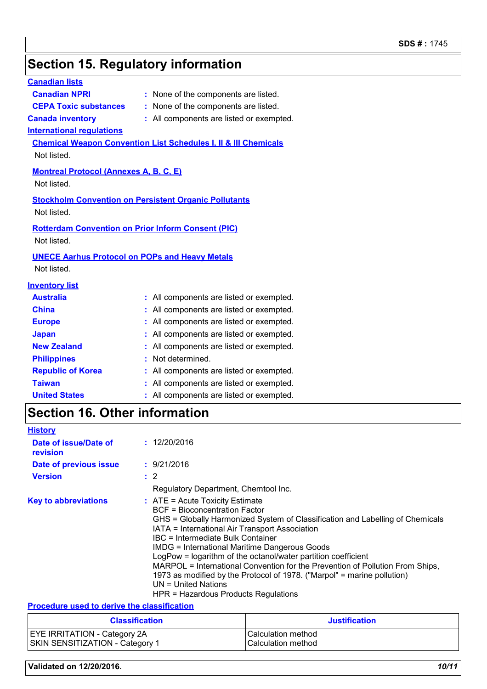# **Section 15. Regulatory information**

| <b>Canadian lists</b>                         |                                                                            |
|-----------------------------------------------|----------------------------------------------------------------------------|
| <b>Canadian NPRI</b>                          | : None of the components are listed.                                       |
| <b>CEPA Toxic substances</b>                  | None of the components are listed.                                         |
| <b>Canada inventory</b>                       | : All components are listed or exempted.                                   |
| <b>International regulations</b>              |                                                                            |
|                                               | <b>Chemical Weapon Convention List Schedules I, II &amp; III Chemicals</b> |
| Not listed.                                   |                                                                            |
| <b>Montreal Protocol (Annexes A, B, C, E)</b> |                                                                            |
| Not listed.                                   |                                                                            |
|                                               |                                                                            |
| Not listed.                                   | <b>Stockholm Convention on Persistent Organic Pollutants</b>               |
|                                               |                                                                            |
|                                               | <b>Rotterdam Convention on Prior Inform Consent (PIC)</b>                  |
| Not listed.                                   |                                                                            |
|                                               | <b>UNECE Aarhus Protocol on POPs and Heavy Metals</b>                      |
| Not listed.                                   |                                                                            |
| <b>Inventory list</b>                         |                                                                            |
| <b>Australia</b>                              | : All components are listed or exempted.                                   |
| <b>China</b>                                  | All components are listed or exempted.                                     |
| <b>Europe</b>                                 | All components are listed or exempted.                                     |
| <b>Japan</b>                                  | All components are listed or exempted.                                     |
| <b>New Zealand</b>                            | All components are listed or exempted.                                     |
| <b>Philippines</b>                            | Not determined.                                                            |
| <b>Republic of Korea</b>                      | All components are listed or exempted.                                     |
| <b>Taiwan</b>                                 | All components are listed or exempted.                                     |
| <b>United States</b>                          | : All components are listed or exempted.                                   |
| <b>Section 16. Other information</b>          |                                                                            |
| <b>History</b>                                |                                                                            |
| Dato of issue/Dato of                         | $+ 12/20/2016$                                                             |

| Date of issue/Date of<br>revision | : 12/20/2016                                                                                                                                                                                                                                                                                                                                                                                                                                                                                                                                                                                                     |
|-----------------------------------|------------------------------------------------------------------------------------------------------------------------------------------------------------------------------------------------------------------------------------------------------------------------------------------------------------------------------------------------------------------------------------------------------------------------------------------------------------------------------------------------------------------------------------------------------------------------------------------------------------------|
| Date of previous issue            | : 9/21/2016                                                                                                                                                                                                                                                                                                                                                                                                                                                                                                                                                                                                      |
| <b>Version</b>                    | : 2                                                                                                                                                                                                                                                                                                                                                                                                                                                                                                                                                                                                              |
|                                   | Regulatory Department, Chemtool Inc.                                                                                                                                                                                                                                                                                                                                                                                                                                                                                                                                                                             |
| <b>Key to abbreviations</b>       | $\therefore$ ATE = Acute Toxicity Estimate<br><b>BCF = Bioconcentration Factor</b><br>GHS = Globally Harmonized System of Classification and Labelling of Chemicals<br>IATA = International Air Transport Association<br>IBC = Intermediate Bulk Container<br><b>IMDG = International Maritime Dangerous Goods</b><br>LogPow = logarithm of the octanol/water partition coefficient<br>MARPOL = International Convention for the Prevention of Pollution From Ships,<br>1973 as modified by the Protocol of 1978. ("Marpol" = marine pollution)<br>$UN = United Nations$<br>HPR = Hazardous Products Regulations |

#### **Procedure used to derive the classification**

| <b>Classification</b>                  | Justification        |
|----------------------------------------|----------------------|
| <b>EYE IRRITATION - Category 2A</b>    | l Calculation method |
| <b>SKIN SENSITIZATION - Category 1</b> | l Calculation method |